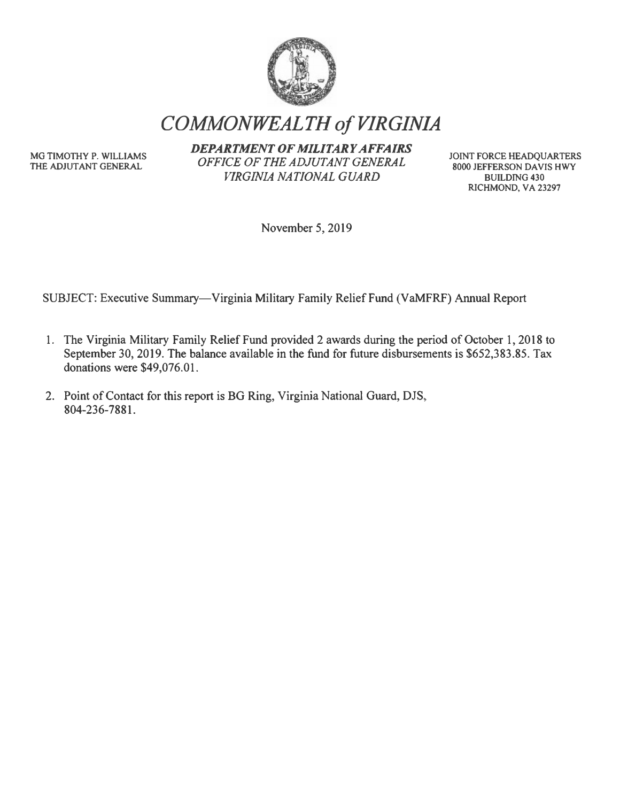

*COMMONWEALTH of VIRGINIA* 

**MG TIMOTHY P. WILLIAMS THE ADJUTANT GENERAL** 

*DEPARTMENT OF MILITARY AFFAIRS OFFICE OF THE ADJUTANT GENERAL VIRGINIA NATIONAL GUARD* 

**JOINT FORCE HEADQUARTERS 8000 JEFFERSON DA VIS HWY BUILDING 430 RICHMOND, VA 23297** 

November 5, 2019

SUBJECT: Executive Summary-Virginia Military Family Relief Fund (VaMFRF) Annual Report

- 1. The Virginia Military Family Relief Fund provided 2 awards during the period of October 1, 2018 to September 30, 2019. The balance available in the fund for future disbursements is \$652,383.85. Tax donations were \$49,076.01.
- 2. Point of Contact for this report is BG Ring, Virginia National Guard, DJS, 804-236-7881.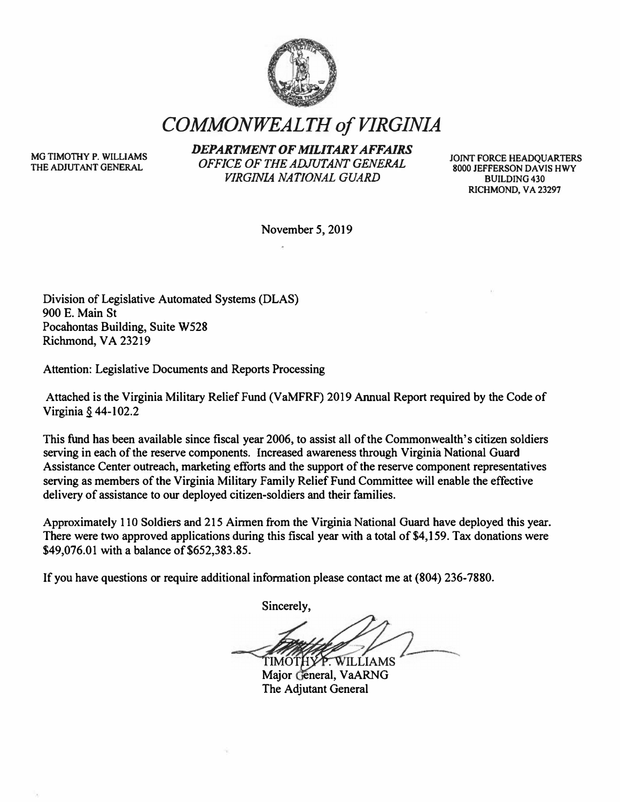

*COMMONWEALTH of VIRGINIA* 

**MG TIMOTHY P. WILLIAMS THE ADJUTANT GENERAL** 

*DEPARTMENT OF MILITARY AFFAIRS OFFICE OF THE ADJUTANT GENERAL VIRGINIA NATIONAL GUARD* 

**JOINT FORCE HEADQUARTERS 8000 JEFFERSON DAVIS HWY BUILDING 430 RICHMOND. VA 23297** 

**November 5, 2019** 

**Division of Legislative Automated Systems (DLAS) 900 E. Main St Pocahontas Building, Suite W528 Richmond, VA 23219** 

**Attention: Legislative Documents and Reports Processing** 

**Attached is the Virginia Military Relief Fund (VaMFRF) 2019 Annual Report required by the Code of Virginia § 44-102.2** 

**This fund has been available since fiscal year 2006, to assist all of the Commonwealth's citizen soldiers serving in each of the reserve components. Increased awareness through Virginia National Guard Assistance Center outreach, marketing efforts and the support of the reserve component representatives serving as members of the Virginia Military Family Relief Fund Committee will enable the effective delivery of assistance to our deployed citizen-soldiers and their families.** 

**Approximately 11 O Soldiers and 215 Airmen from the Virginia National Guard have deployed this year.**  There were two approved applications during this fiscal year with a total of \$4,159. Tax donations were **\$49,076.01 with a balance of\$652,383.85.** 

**If you have questions or require additional information please contact me at (804) 236-7880.** 

**Sincerely,** 

**TIMOTHY** P. WILLIAMS

**Major General, VaARNG The Adjutant General**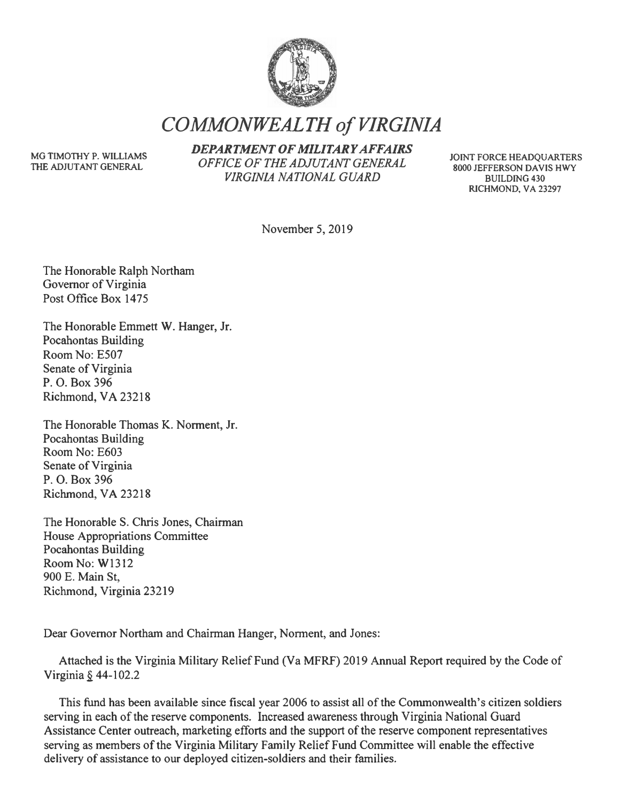

*COMMONWEALTH of VIRGINIA* 

**MG TIMOTHY P. WILLIAMS THE ADJUTANT GENERAL** 

*DEPARTMENT OF MILITARY AFFAIRS OFFICE OF THE ADJUTANT GENERAL VIRGINIA NATIONAL GUARD* 

**JOINT FORCE HEADQUARTERS 8000 JEFFERSON DA VIS HWY BUILDING 430 RICHMOND, VA 23297** 

November 5, 2019

The Honorable Ralph Northam Governor of Virginia Post Office Box 1475

The Honorable Emmett W. Hanger, Jr. Pocahontas Building Room No: E507 Senate of Virginia P. 0. Box 396 Richmond, VA 23218

The Honorable Thomas K. Norment, Jr. Pocahontas Building Room No: E603 Senate of Virginia P. 0. Box 396 Richmond, VA 23218

The Honorable S. Chris Jones, Chairman House Appropriations Committee Pocahontas Building Room No: W1312 900 E. Main St, Richmond, Virginia 23219

Dear Governor Northam and Chairman Hanger, Norment, and Jones:

Attached is the Virginia Military Relief Fund (Va MFRF) 2019 Annual Report required by the Code of Virginia  $\S$  44-102.2

This fund has been available since fiscal year 2006 to assist all of the Commonwealth's citizen soldiers serving in each of the reserve components. Increased awareness through Virginia National Guard Assistance Center outreach, marketing efforts and the support of the reserve component representatives serving as members of the Virginia Military Family Relief Fund Committee will enable the effective delivery of assistance to our deployed citizen-soldiers and their families.